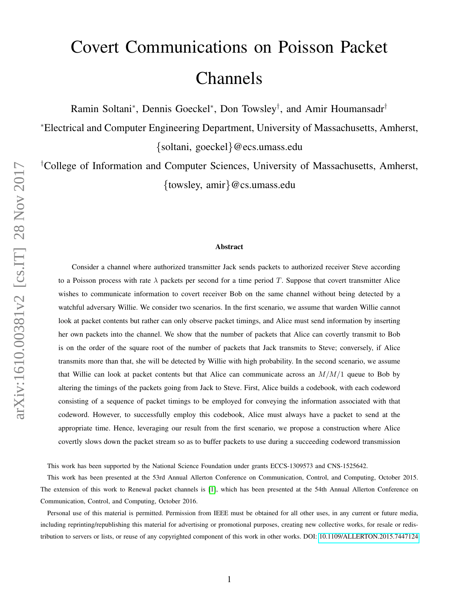# Covert Communications on Poisson Packet Channels

Ramin Soltani<sup>∗</sup>, Dennis Goeckel<sup>∗</sup>, Don Towsley<sup>†</sup>, and Amir Houmansadr<sup>†</sup>

<sup>∗</sup>Electrical and Computer Engineering Department, University of Massachusetts, Amherst, {soltani, goeckel}@ecs.umass.edu

†College of Information and Computer Sciences, University of Massachusetts, Amherst, {towsley, amir}@cs.umass.edu

#### Abstract

Consider a channel where authorized transmitter Jack sends packets to authorized receiver Steve according to a Poisson process with rate  $\lambda$  packets per second for a time period T. Suppose that covert transmitter Alice wishes to communicate information to covert receiver Bob on the same channel without being detected by a watchful adversary Willie. We consider two scenarios. In the first scenario, we assume that warden Willie cannot look at packet contents but rather can only observe packet timings, and Alice must send information by inserting her own packets into the channel. We show that the number of packets that Alice can covertly transmit to Bob is on the order of the square root of the number of packets that Jack transmits to Steve; conversely, if Alice transmits more than that, she will be detected by Willie with high probability. In the second scenario, we assume that Willie can look at packet contents but that Alice can communicate across an  $M/M/1$  queue to Bob by altering the timings of the packets going from Jack to Steve. First, Alice builds a codebook, with each codeword consisting of a sequence of packet timings to be employed for conveying the information associated with that codeword. However, to successfully employ this codebook, Alice must always have a packet to send at the appropriate time. Hence, leveraging our result from the first scenario, we propose a construction where Alice covertly slows down the packet stream so as to buffer packets to use during a succeeding codeword transmission

This work has been supported by the National Science Foundation under grants ECCS-1309573 and CNS-1525642.

This work has been presented at the 53rd Annual Allerton Conference on Communication, Control, and Computing, October 2015. The extension of this work to Renewal packet channels is [\[1\]](#page-13-0), which has been presented at the 54th Annual Allerton Conference on Communication, Control, and Computing, October 2016.

Personal use of this material is permitted. Permission from IEEE must be obtained for all other uses, in any current or future media, including reprinting/republishing this material for advertising or promotional purposes, creating new collective works, for resale or redistribution to servers or lists, or reuse of any copyrighted component of this work in other works. DOI: [10.1109/ALLERTON.2015.7447124](https://doi.org/10.1109/ALLERTON.2015.7447124)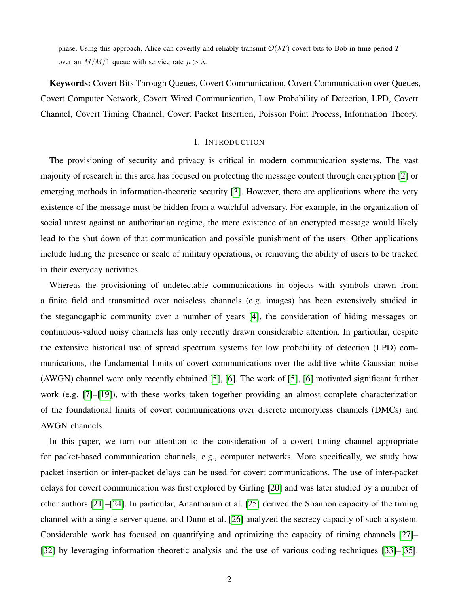phase. Using this approach, Alice can covertly and reliably transmit  $\mathcal{O}(\lambda T)$  covert bits to Bob in time period T over an  $M/M/1$  queue with service rate  $\mu > \lambda$ .

Keywords: Covert Bits Through Queues, Covert Communication, Covert Communication over Queues, Covert Computer Network, Covert Wired Communication, Low Probability of Detection, LPD, Covert Channel, Covert Timing Channel, Covert Packet Insertion, Poisson Point Process, Information Theory.

## I. INTRODUCTION

The provisioning of security and privacy is critical in modern communication systems. The vast majority of research in this area has focused on protecting the message content through encryption [\[2\]](#page-13-1) or emerging methods in information-theoretic security [\[3\]](#page-13-2). However, there are applications where the very existence of the message must be hidden from a watchful adversary. For example, in the organization of social unrest against an authoritarian regime, the mere existence of an encrypted message would likely lead to the shut down of that communication and possible punishment of the users. Other applications include hiding the presence or scale of military operations, or removing the ability of users to be tracked in their everyday activities.

Whereas the provisioning of undetectable communications in objects with symbols drawn from a finite field and transmitted over noiseless channels (e.g. images) has been extensively studied in the steganogaphic community over a number of years [\[4\]](#page-13-3), the consideration of hiding messages on continuous-valued noisy channels has only recently drawn considerable attention. In particular, despite the extensive historical use of spread spectrum systems for low probability of detection (LPD) communications, the fundamental limits of covert communications over the additive white Gaussian noise (AWGN) channel were only recently obtained [\[5\]](#page-13-4), [\[6\]](#page-13-5). The work of [\[5\]](#page-13-4), [\[6\]](#page-13-5) motivated significant further work (e.g. [\[7\]](#page-13-6)–[\[19\]](#page-14-0)), with these works taken together providing an almost complete characterization of the foundational limits of covert communications over discrete memoryless channels (DMCs) and AWGN channels.

In this paper, we turn our attention to the consideration of a covert timing channel appropriate for packet-based communication channels, e.g., computer networks. More specifically, we study how packet insertion or inter-packet delays can be used for covert communications. The use of inter-packet delays for covert communication was first explored by Girling [\[20\]](#page-14-1) and was later studied by a number of other authors [\[21\]](#page-14-2)–[\[24\]](#page-14-3). In particular, Anantharam et al. [\[25\]](#page-14-4) derived the Shannon capacity of the timing channel with a single-server queue, and Dunn et al. [\[26\]](#page-14-5) analyzed the secrecy capacity of such a system. Considerable work has focused on quantifying and optimizing the capacity of timing channels [\[27\]](#page-14-6)– [\[32\]](#page-14-7) by leveraging information theoretic analysis and the use of various coding techniques [\[33\]](#page-14-8)–[\[35\]](#page-15-0).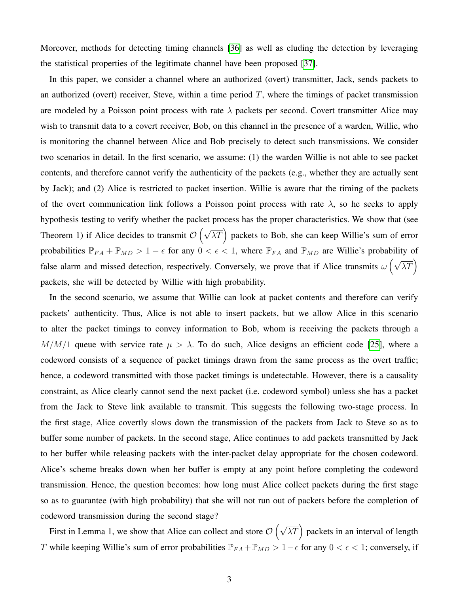Moreover, methods for detecting timing channels [\[36\]](#page-15-1) as well as eluding the detection by leveraging the statistical properties of the legitimate channel have been proposed [\[37\]](#page-15-2).

In this paper, we consider a channel where an authorized (overt) transmitter, Jack, sends packets to an authorized (overt) receiver, Steve, within a time period  $T$ , where the timings of packet transmission are modeled by a Poisson point process with rate  $\lambda$  packets per second. Covert transmitter Alice may wish to transmit data to a covert receiver, Bob, on this channel in the presence of a warden, Willie, who is monitoring the channel between Alice and Bob precisely to detect such transmissions. We consider two scenarios in detail. In the first scenario, we assume: (1) the warden Willie is not able to see packet contents, and therefore cannot verify the authenticity of the packets (e.g., whether they are actually sent by Jack); and (2) Alice is restricted to packet insertion. Willie is aware that the timing of the packets of the overt communication link follows a Poisson point process with rate  $\lambda$ , so he seeks to apply hypothesis testing to verify whether the packet process has the proper characteristics. We show that (see Theorem 1) if Alice decides to transmit  $\mathcal{O}(\sqrt{\lambda T})$  packets to Bob, she can keep Willie's sum of error probabilities  $\mathbb{P}_{FA} + \mathbb{P}_{MD} > 1 - \epsilon$  for any  $0 < \epsilon < 1$ , where  $\mathbb{P}_{FA}$  and  $\mathbb{P}_{MD}$  are Willie's probability of false alarm and missed detection, respectively. Conversely, we prove that if Alice transmits  $\omega \left( \sqrt{\lambda T} \right)$ packets, she will be detected by Willie with high probability.

In the second scenario, we assume that Willie can look at packet contents and therefore can verify packets' authenticity. Thus, Alice is not able to insert packets, but we allow Alice in this scenario to alter the packet timings to convey information to Bob, whom is receiving the packets through a  $M/M/1$  queue with service rate  $\mu > \lambda$ . To do such, Alice designs an efficient code [\[25\]](#page-14-4), where a codeword consists of a sequence of packet timings drawn from the same process as the overt traffic; hence, a codeword transmitted with those packet timings is undetectable. However, there is a causality constraint, as Alice clearly cannot send the next packet (i.e. codeword symbol) unless she has a packet from the Jack to Steve link available to transmit. This suggests the following two-stage process. In the first stage, Alice covertly slows down the transmission of the packets from Jack to Steve so as to buffer some number of packets. In the second stage, Alice continues to add packets transmitted by Jack to her buffer while releasing packets with the inter-packet delay appropriate for the chosen codeword. Alice's scheme breaks down when her buffer is empty at any point before completing the codeword transmission. Hence, the question becomes: how long must Alice collect packets during the first stage so as to guarantee (with high probability) that she will not run out of packets before the completion of codeword transmission during the second stage?

First in Lemma 1, we show that Alice can collect and store  $\mathcal{O}\left(\sqrt{\lambda T}\right)$  packets in an interval of length T while keeping Willie's sum of error probabilities  $\mathbb{P}_{FA} + \mathbb{P}_{MD} > 1 - \epsilon$  for any  $0 < \epsilon < 1$ ; conversely, if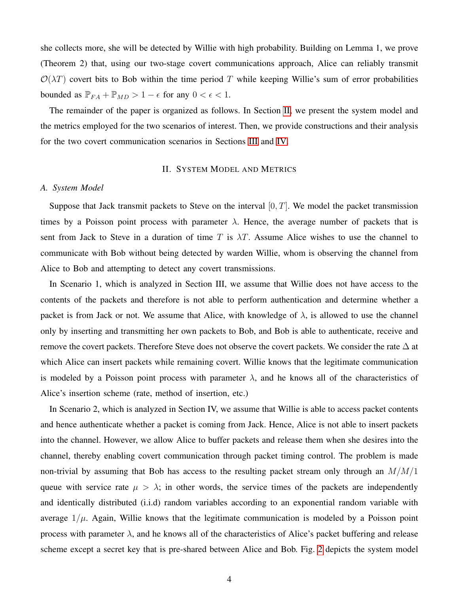she collects more, she will be detected by Willie with high probability. Building on Lemma 1, we prove (Theorem 2) that, using our two-stage covert communications approach, Alice can reliably transmit  $\mathcal{O}(\lambda T)$  covert bits to Bob within the time period T while keeping Willie's sum of error probabilities bounded as  $\mathbb{P}_{FA} + \mathbb{P}_{MD} > 1 - \epsilon$  for any  $0 < \epsilon < 1$ .

The remainder of the paper is organized as follows. In Section [II,](#page-3-0) we present the system model and the metrics employed for the two scenarios of interest. Then, we provide constructions and their analysis for the two covert communication scenarios in Sections [III](#page-5-0) and [IV.](#page-7-0)

# II. SYSTEM MODEL AND METRICS

## <span id="page-3-0"></span>*A. System Model*

Suppose that Jack transmit packets to Steve on the interval  $[0, T]$ . We model the packet transmission times by a Poisson point process with parameter  $\lambda$ . Hence, the average number of packets that is sent from Jack to Steve in a duration of time T is  $\lambda T$ . Assume Alice wishes to use the channel to communicate with Bob without being detected by warden Willie, whom is observing the channel from Alice to Bob and attempting to detect any covert transmissions.

In Scenario 1, which is analyzed in Section III, we assume that Willie does not have access to the contents of the packets and therefore is not able to perform authentication and determine whether a packet is from Jack or not. We assume that Alice, with knowledge of  $\lambda$ , is allowed to use the channel only by inserting and transmitting her own packets to Bob, and Bob is able to authenticate, receive and remove the covert packets. Therefore Steve does not observe the covert packets. We consider the rate  $\Delta$  at which Alice can insert packets while remaining covert. Willie knows that the legitimate communication is modeled by a Poisson point process with parameter  $\lambda$ , and he knows all of the characteristics of Alice's insertion scheme (rate, method of insertion, etc.)

In Scenario 2, which is analyzed in Section IV, we assume that Willie is able to access packet contents and hence authenticate whether a packet is coming from Jack. Hence, Alice is not able to insert packets into the channel. However, we allow Alice to buffer packets and release them when she desires into the channel, thereby enabling covert communication through packet timing control. The problem is made non-trivial by assuming that Bob has access to the resulting packet stream only through an  $M/M/1$ queue with service rate  $\mu > \lambda$ ; in other words, the service times of the packets are independently and identically distributed (i.i.d) random variables according to an exponential random variable with average  $1/\mu$ . Again, Willie knows that the legitimate communication is modeled by a Poisson point process with parameter  $\lambda$ , and he knows all of the characteristics of Alice's packet buffering and release scheme except a secret key that is pre-shared between Alice and Bob. Fig. [2](#page-4-0) depicts the system model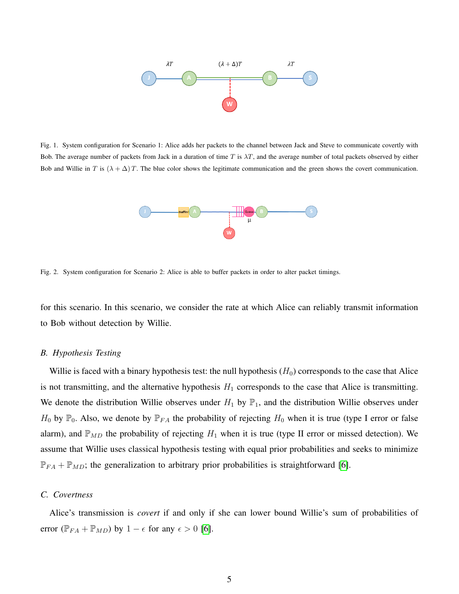

Fig. 1. System configuration for Scenario 1: Alice adds her packets to the channel between Jack and Steve to communicate covertly with Bob. The average number of packets from Jack in a duration of time  $T$  is  $\lambda T$ , and the average number of total packets observed by either Bob and Willie in T is  $(\lambda + \Delta)T$ . The blue color shows the legitimate communication and the green shows the covert communication.



<span id="page-4-0"></span>Fig. 2. System configuration for Scenario 2: Alice is able to buffer packets in order to alter packet timings.

for this scenario. In this scenario, we consider the rate at which Alice can reliably transmit information to Bob without detection by Willie.

## *B. Hypothesis Testing*

Willie is faced with a binary hypothesis test: the null hypothesis  $(H_0)$  corresponds to the case that Alice is not transmitting, and the alternative hypothesis  $H_1$  corresponds to the case that Alice is transmitting. We denote the distribution Willie observes under  $H_1$  by  $\mathbb{P}_1$ , and the distribution Willie observes under  $H_0$  by  $\mathbb{P}_0$ . Also, we denote by  $\mathbb{P}_{FA}$  the probability of rejecting  $H_0$  when it is true (type I error or false alarm), and  $\mathbb{P}_{MD}$  the probability of rejecting  $H_1$  when it is true (type II error or missed detection). We assume that Willie uses classical hypothesis testing with equal prior probabilities and seeks to minimize  $\mathbb{P}_{FA} + \mathbb{P}_{MD}$ ; the generalization to arbitrary prior probabilities is straightforward [\[6\]](#page-13-5).

# *C. Covertness*

Alice's transmission is *covert* if and only if she can lower bound Willie's sum of probabilities of error ( $\mathbb{P}_{FA} + \mathbb{P}_{MD}$ ) by  $1 - \epsilon$  for any  $\epsilon > 0$  [\[6\]](#page-13-5).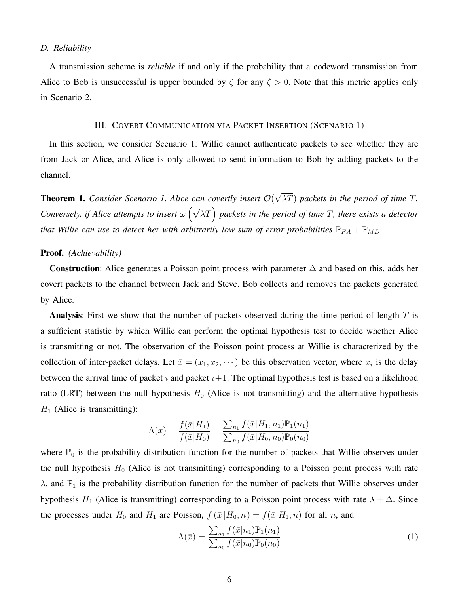## *D. Reliability*

A transmission scheme is *reliable* if and only if the probability that a codeword transmission from Alice to Bob is unsuccessful is upper bounded by  $\zeta$  for any  $\zeta > 0$ . Note that this metric applies only in Scenario 2.

## III. COVERT COMMUNICATION VIA PACKET INSERTION (SCENARIO 1)

<span id="page-5-0"></span>In this section, we consider Scenario 1: Willie cannot authenticate packets to see whether they are from Jack or Alice, and Alice is only allowed to send information to Bob by adding packets to the channel.

Theorem 1. *Consider Scenario 1. Alice can covertly insert* O( √ λT) *packets in the period of time* T*. Conversely, if Alice attempts to insert*  $\omega \left( \sqrt{\lambda T} \right)$  packets in the period of time T, there exists a detector *that Willie can use to detect her with arbitrarily low sum of error probabilities*  $\mathbb{P}_{FA} + \mathbb{P}_{MD}$ *.* 

#### Proof. *(Achievability)*

Construction: Alice generates a Poisson point process with parameter  $\Delta$  and based on this, adds her covert packets to the channel between Jack and Steve. Bob collects and removes the packets generated by Alice.

Analysis: First we show that the number of packets observed during the time period of length  $T$  is a sufficient statistic by which Willie can perform the optimal hypothesis test to decide whether Alice is transmitting or not. The observation of the Poisson point process at Willie is characterized by the collection of inter-packet delays. Let  $\bar{x} = (x_1, x_2, \dots)$  be this observation vector, where  $x_i$  is the delay between the arrival time of packet i and packet  $i+1$ . The optimal hypothesis test is based on a likelihood ratio (LRT) between the null hypothesis  $H_0$  (Alice is not transmitting) and the alternative hypothesis  $H_1$  (Alice is transmitting):

$$
\Lambda(\bar{x}) = \frac{f(\bar{x}|H_1)}{f(\bar{x}|H_0)} = \frac{\sum_{n_1} f(\bar{x}|H_1, n_1) \mathbb{P}_1(n_1)}{\sum_{n_0} f(\bar{x}|H_0, n_0) \mathbb{P}_0(n_0)}
$$

where  $\mathbb{P}_0$  is the probability distribution function for the number of packets that Willie observes under the null hypothesis  $H_0$  (Alice is not transmitting) corresponding to a Poisson point process with rate  $\lambda$ , and  $\mathbb{P}_1$  is the probability distribution function for the number of packets that Willie observes under hypothesis H<sub>1</sub> (Alice is transmitting) corresponding to a Poisson point process with rate  $\lambda + \Delta$ . Since the processes under  $H_0$  and  $H_1$  are Poisson,  $f(\bar{x}|H_0,n) = f(\bar{x}|H_1,n)$  for all n, and

$$
\Lambda(\bar{x}) = \frac{\sum_{n_1} f(\bar{x}|n_1) \mathbb{P}_1(n_1)}{\sum_{n_0} f(\bar{x}|n_0) \mathbb{P}_0(n_0)}
$$
(1)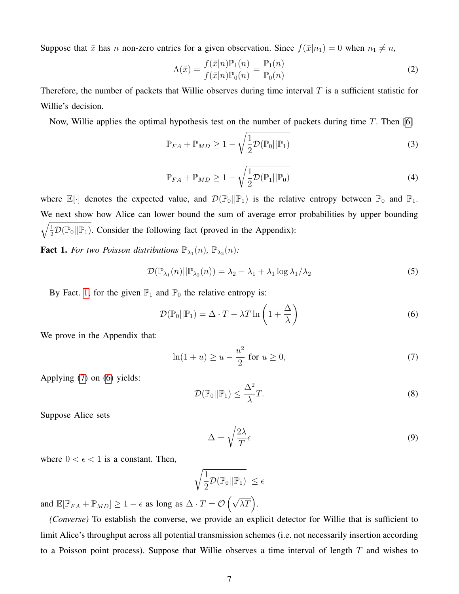Suppose that  $\bar{x}$  has n non-zero entries for a given observation. Since  $f(\bar{x}|n_1) = 0$  when  $n_1 \neq n$ ,

$$
\Lambda(\bar{x}) = \frac{f(\bar{x}|n)\mathbb{P}_1(n)}{f(\bar{x}|n)\mathbb{P}_0(n)} = \frac{\mathbb{P}_1(n)}{\mathbb{P}_0(n)}\tag{2}
$$

Therefore, the number of packets that Willie observes during time interval  $T$  is a sufficient statistic for Willie's decision.

Now, Willie applies the optimal hypothesis test on the number of packets during time  $T$ . Then [\[6\]](#page-13-5)

$$
\mathbb{P}_{FA} + \mathbb{P}_{MD} \ge 1 - \sqrt{\frac{1}{2} \mathcal{D}(\mathbb{P}_0 || \mathbb{P}_1)}
$$
(3)

<span id="page-6-3"></span>
$$
\mathbb{P}_{FA} + \mathbb{P}_{MD} \ge 1 - \sqrt{\frac{1}{2} \mathcal{D}(\mathbb{P}_1 || \mathbb{P}_0)}
$$
(4)

where  $\mathbb{E}[\cdot]$  denotes the expected value, and  $\mathcal{D}(\mathbb{P}_0||\mathbb{P}_1)$  is the relative entropy between  $\mathbb{P}_0$  and  $\mathbb{P}_1$ . We next show how Alice can lower bound the sum of average error probabilities by upper bounding  $\sqrt{\frac{1}{2}\mathcal{D}(\mathbb{P}_0||\mathbb{P}_1)}$ . Consider the following fact (proved in the Appendix):

<span id="page-6-0"></span>**Fact 1.** For two Poisson distributions  $\mathbb{P}_{\lambda_1}(n)$ ,  $\mathbb{P}_{\lambda_2}(n)$ :

$$
\mathcal{D}(\mathbb{P}_{\lambda_1}(n)||\mathbb{P}_{\lambda_2}(n)) = \lambda_2 - \lambda_1 + \lambda_1 \log \lambda_1/\lambda_2 \tag{5}
$$

By Fact. [1,](#page-6-0) for the given  $\mathbb{P}_1$  and  $\mathbb{P}_0$  the relative entropy is:

$$
\mathcal{D}(\mathbb{P}_0||\mathbb{P}_1) = \Delta \cdot T - \lambda T \ln\left(1 + \frac{\Delta}{\lambda}\right)
$$
\n(6)

We prove in the Appendix that:

$$
\ln(1+u) \ge u - \frac{u^2}{2} \text{ for } u \ge 0,
$$
 (7)

Applying [\(7\)](#page-6-1) on [\(6\)](#page-6-2) yields:

<span id="page-6-2"></span>
$$
\mathcal{D}(\mathbb{P}_0||\mathbb{P}_1) \le \frac{\Delta^2}{\lambda}T. \tag{8}
$$

Suppose Alice sets

<span id="page-6-4"></span><span id="page-6-1"></span>
$$
\Delta = \sqrt{\frac{2\lambda}{T}}\epsilon
$$
\n(9)

where  $0 < \epsilon < 1$  is a constant. Then,

$$
\sqrt{\frac{1}{2}\mathcal{D}(\mathbb{P}_0||\mathbb{P}_1)} \leq \epsilon
$$

and  $\mathbb{E}[\mathbb{P}_{FA} + \mathbb{P}_{MD}] \ge 1 - \epsilon$  as long as  $\Delta \cdot T = \mathcal{O}(\sqrt{\lambda T})$ .

*(Converse)* To establish the converse, we provide an explicit detector for Willie that is sufficient to limit Alice's throughput across all potential transmission schemes (i.e. not necessarily insertion according to a Poisson point process). Suppose that Willie observes a time interval of length  $T$  and wishes to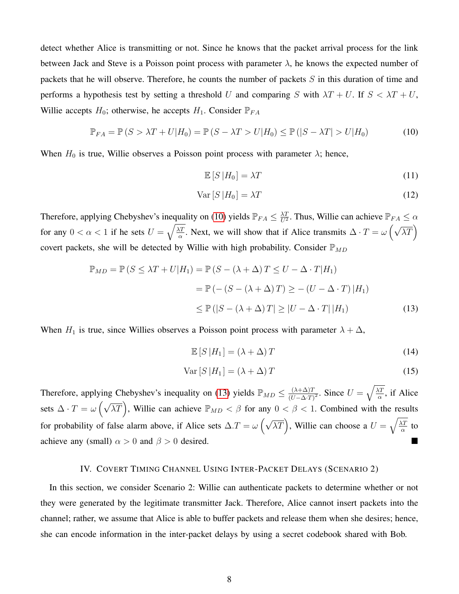detect whether Alice is transmitting or not. Since he knows that the packet arrival process for the link between Jack and Steve is a Poisson point process with parameter  $\lambda$ , he knows the expected number of packets that he will observe. Therefore, he counts the number of packets  $S$  in this duration of time and performs a hypothesis test by setting a threshold U and comparing S with  $\lambda T + U$ . If  $S < \lambda T + U$ , Willie accepts  $H_0$ ; otherwise, he accepts  $H_1$ . Consider  $\mathbb{P}_{FA}$ 

$$
\mathbb{P}_{FA} = \mathbb{P}\left(S > \lambda T + U|H_0\right) = \mathbb{P}\left(S - \lambda T > U|H_0\right) \le \mathbb{P}\left(|S - \lambda T| > U|H_0\right) \tag{10}
$$

When  $H_0$  is true, Willie observes a Poisson point process with parameter  $\lambda$ ; hence,

<span id="page-7-1"></span>
$$
\mathbb{E}\left[S\left|H_0\right.\right] = \lambda T\tag{11}
$$

$$
\text{Var}\left[S\left|H_0\right.\right] = \lambda T\tag{12}
$$

Therefore, applying Chebyshev's inequality on [\(10\)](#page-7-1) yields  $\mathbb{P}_{FA} \leq \frac{\lambda T}{U^2}$  $\frac{\lambda T}{U^2}$ . Thus, Willie can achieve  $\mathbb{P}_{FA} \leq \alpha$ for any  $0 < \alpha < 1$  if he sets  $U = \sqrt{\frac{\lambda T}{\alpha}}$  $\frac{\overline{X}}{\alpha}$ . Next, we will show that if Alice transmits  $\Delta \cdot T = \omega \left( \sqrt{\lambda T} \right)$ covert packets, she will be detected by Willie with high probability. Consider  $\mathbb{P}_{MD}$ 

$$
\mathbb{P}_{MD} = \mathbb{P}\left(S \le \lambda T + U|H_1\right) = \mathbb{P}\left(S - (\lambda + \Delta)T \le U - \Delta \cdot T|H_1\right)
$$

$$
= \mathbb{P}\left(-\left(S - (\lambda + \Delta)T\right) \ge -\left(U - \Delta \cdot T\right)|H_1\right)
$$

$$
\le \mathbb{P}\left(|S - (\lambda + \Delta)T| \ge |U - \Delta \cdot T| |H_1\right) \tag{13}
$$

When  $H_1$  is true, since Willies observes a Poisson point process with parameter  $\lambda + \Delta$ ,

<span id="page-7-2"></span> $\mathbb{E}[S|H_1] = (\lambda + \Delta)T$  (14)

$$
Var[S|H_1] = (\lambda + \Delta)T
$$
\n(15)

Therefore, applying Chebyshev's inequality on [\(13\)](#page-7-2) yields  $\mathbb{P}_{MD} \leq \frac{(\lambda + \Delta)T}{(U - \Delta)T}$  $\frac{(\lambda+\Delta)T}{(U-\Delta \cdot T)^2}$ . Since  $U=\sqrt{\frac{\lambda T}{\alpha}}$  $\frac{\Delta T}{\alpha}$ , if Alice sets  $\Delta \cdot T = \omega \left( \sqrt{\lambda T} \right)$ , Willie can achieve  $\mathbb{P}_{MD} < \beta$  for any  $0 < \beta < 1$ . Combined with the results for probability of false alarm above, if Alice sets  $\Delta T = \omega \left( \sqrt{\lambda T} \right)$ , Willie can choose a  $U = \sqrt{\frac{\lambda T}{\alpha}}$  $rac{\Delta T}{\alpha}$  to achieve any (small)  $\alpha > 0$  and  $\beta > 0$  desired.

#### IV. COVERT TIMING CHANNEL USING INTER-PACKET DELAYS (SCENARIO 2)

<span id="page-7-0"></span>In this section, we consider Scenario 2: Willie can authenticate packets to determine whether or not they were generated by the legitimate transmitter Jack. Therefore, Alice cannot insert packets into the channel; rather, we assume that Alice is able to buffer packets and release them when she desires; hence, she can encode information in the inter-packet delays by using a secret codebook shared with Bob.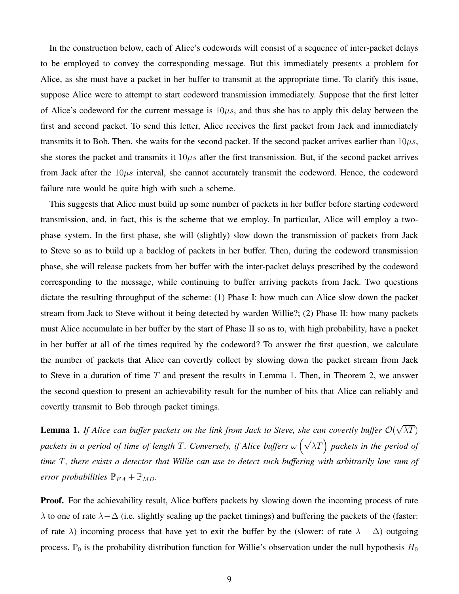In the construction below, each of Alice's codewords will consist of a sequence of inter-packet delays to be employed to convey the corresponding message. But this immediately presents a problem for Alice, as she must have a packet in her buffer to transmit at the appropriate time. To clarify this issue, suppose Alice were to attempt to start codeword transmission immediately. Suppose that the first letter of Alice's codeword for the current message is  $10\mu s$ , and thus she has to apply this delay between the first and second packet. To send this letter, Alice receives the first packet from Jack and immediately transmits it to Bob. Then, she waits for the second packet. If the second packet arrives earlier than  $10\mu s$ , she stores the packet and transmits it  $10\mu s$  after the first transmission. But, if the second packet arrives from Jack after the  $10\mu s$  interval, she cannot accurately transmit the codeword. Hence, the codeword failure rate would be quite high with such a scheme.

This suggests that Alice must build up some number of packets in her buffer before starting codeword transmission, and, in fact, this is the scheme that we employ. In particular, Alice will employ a twophase system. In the first phase, she will (slightly) slow down the transmission of packets from Jack to Steve so as to build up a backlog of packets in her buffer. Then, during the codeword transmission phase, she will release packets from her buffer with the inter-packet delays prescribed by the codeword corresponding to the message, while continuing to buffer arriving packets from Jack. Two questions dictate the resulting throughput of the scheme: (1) Phase I: how much can Alice slow down the packet stream from Jack to Steve without it being detected by warden Willie?; (2) Phase II: how many packets must Alice accumulate in her buffer by the start of Phase II so as to, with high probability, have a packet in her buffer at all of the times required by the codeword? To answer the first question, we calculate the number of packets that Alice can covertly collect by slowing down the packet stream from Jack to Steve in a duration of time  $T$  and present the results in Lemma 1. Then, in Theorem 2, we answer the second question to present an achievability result for the number of bits that Alice can reliably and covertly transmit to Bob through packet timings.

Lemma 1. *If Alice can buffer packets on the link from Jack to Steve, she can covertly buffer* O( √  $\lambda T)$ *packets in a period of time of length T. Conversely, if Alice buffers*  $ω(√λT)$  packets in the period of *time* T*, there exists a detector that Willie can use to detect such buffering with arbitrarily low sum of error probabilities*  $\mathbb{P}_{FA} + \mathbb{P}_{MD}$ .

**Proof.** For the achievability result, Alice buffers packets by slowing down the incoming process of rate  $\lambda$  to one of rate  $\lambda - \Delta$  (i.e. slightly scaling up the packet timings) and buffering the packets of the (faster: of rate  $\lambda$ ) incoming process that have yet to exit the buffer by the (slower: of rate  $\lambda - \Delta$ ) outgoing process.  $\mathbb{P}_0$  is the probability distribution function for Willie's observation under the null hypothesis  $H_0$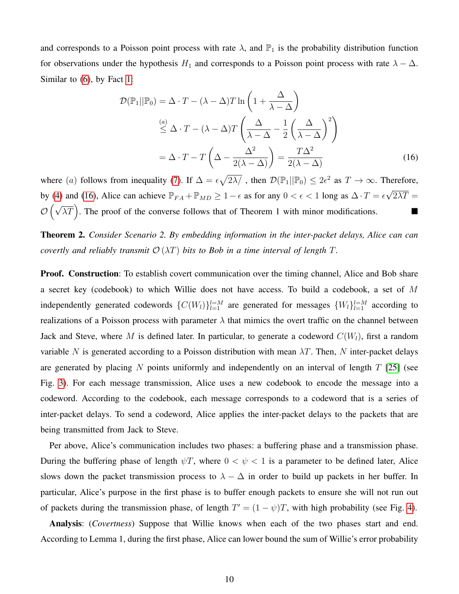and corresponds to a Poisson point process with rate  $\lambda$ , and  $\mathbb{P}_1$  is the probability distribution function for observations under the hypothesis  $H_1$  and corresponds to a Poisson point process with rate  $\lambda - \Delta$ . Similar to [\(6\)](#page-6-2), by Fact [1:](#page-6-0)

<span id="page-9-0"></span>
$$
\mathcal{D}(\mathbb{P}_1||\mathbb{P}_0) = \Delta \cdot T - (\lambda - \Delta)T \ln\left(1 + \frac{\Delta}{\lambda - \Delta}\right)
$$
  
\n
$$
\stackrel{(a)}{\leq} \Delta \cdot T - (\lambda - \Delta)T \left(\frac{\Delta}{\lambda - \Delta} - \frac{1}{2}\left(\frac{\Delta}{\lambda - \Delta}\right)^2\right)
$$
  
\n
$$
= \Delta \cdot T - T \left(\Delta - \frac{\Delta^2}{2(\lambda - \Delta)}\right) = \frac{T\Delta^2}{2(\lambda - \Delta)} \tag{16}
$$

where (a) follows from inequality [\(7\)](#page-6-1). If  $\Delta = \epsilon \sqrt{2\lambda/}$ , then  $\mathcal{D}(\mathbb{P}_1 || \mathbb{P}_0) \leq 2\epsilon^2$  as  $T \to \infty$ . Therefore, by [\(4\)](#page-6-3) and [\(16\)](#page-9-0), Alice can achieve  $\mathbb{P}_{FA} + \mathbb{P}_{MD} \ge 1 - \epsilon$  as for any  $0 < \epsilon < 1$  long as  $\Delta \cdot T = \epsilon \sqrt{ }$  $2\lambda T =$  $\mathcal{O}(\sqrt{\lambda T})$ . The proof of the converse follows that of Theorem 1 with minor modifications.

Theorem 2. *Consider Scenario 2. By embedding information in the inter-packet delays, Alice can can covertly and reliably transmit*  $\mathcal{O}(\lambda T)$  *bits to Bob in a time interval of length* T.

**Proof. Construction**: To establish covert communication over the timing channel, Alice and Bob share a secret key (codebook) to which Willie does not have access. To build a codebook, a set of M independently generated codewords  $\{C(W_l)\}_{l=1}^{l=M}$  are generated for messages  $\{W_l\}_{l=1}^{l=M}$  according to realizations of a Poisson process with parameter  $\lambda$  that mimics the overt traffic on the channel between Jack and Steve, where M is defined later. In particular, to generate a codeword  $C(W<sub>l</sub>)$ , first a random variable N is generated according to a Poisson distribution with mean  $\lambda T$ . Then, N inter-packet delays are generated by placing N points uniformly and independently on an interval of length  $T$  [\[25\]](#page-14-4) (see Fig. [3\)](#page-10-0). For each message transmission, Alice uses a new codebook to encode the message into a codeword. According to the codebook, each message corresponds to a codeword that is a series of inter-packet delays. To send a codeword, Alice applies the inter-packet delays to the packets that are being transmitted from Jack to Steve.

Per above, Alice's communication includes two phases: a buffering phase and a transmission phase. During the buffering phase of length  $\psi T$ , where  $0 < \psi < 1$  is a parameter to be defined later, Alice slows down the packet transmission process to  $\lambda - \Delta$  in order to build up packets in her buffer. In particular, Alice's purpose in the first phase is to buffer enough packets to ensure she will not run out of packets during the transmission phase, of length  $T' = (1 - \psi)T$ , with high probability (see Fig. [4\)](#page-10-1).

Analysis: (*Covertness*) Suppose that Willie knows when each of the two phases start and end. According to Lemma 1, during the first phase, Alice can lower bound the sum of Willie's error probability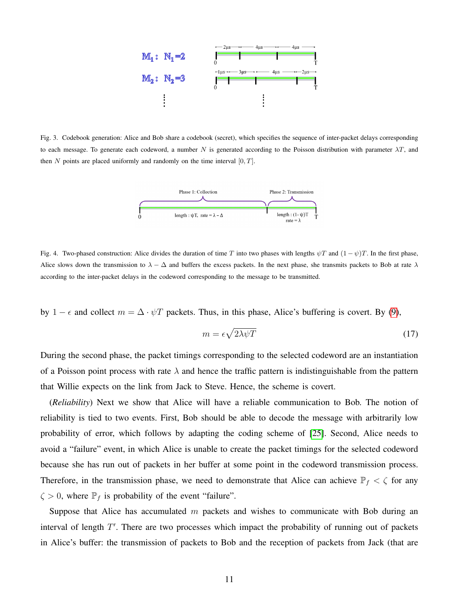

<span id="page-10-0"></span>Fig. 3. Codebook generation: Alice and Bob share a codebook (secret), which specifies the sequence of inter-packet delays corresponding to each message. To generate each codeword, a number N is generated according to the Poisson distribution with parameter  $\lambda T$ , and then  $N$  points are placed uniformly and randomly on the time interval  $[0, T]$ .



<span id="page-10-1"></span>Fig. 4. Two-phased construction: Alice divides the duration of time T into two phases with lengths  $\psi T$  and  $(1 - \psi)T$ . In the first phase, Alice slows down the transmission to  $\lambda - \Delta$  and buffers the excess packets. In the next phase, she transmits packets to Bob at rate  $\lambda$ according to the inter-packet delays in the codeword corresponding to the message to be transmitted.

by 1 –  $\epsilon$  and collect  $m = \Delta \cdot \psi T$  packets. Thus, in this phase, Alice's buffering is covert. By [\(9\)](#page-6-4),

<span id="page-10-2"></span>
$$
m = \epsilon \sqrt{2\lambda \psi T} \tag{17}
$$

During the second phase, the packet timings corresponding to the selected codeword are an instantiation of a Poisson point process with rate  $\lambda$  and hence the traffic pattern is indistinguishable from the pattern that Willie expects on the link from Jack to Steve. Hence, the scheme is covert.

(*Reliability*) Next we show that Alice will have a reliable communication to Bob. The notion of reliability is tied to two events. First, Bob should be able to decode the message with arbitrarily low probability of error, which follows by adapting the coding scheme of [\[25\]](#page-14-4). Second, Alice needs to avoid a "failure" event, in which Alice is unable to create the packet timings for the selected codeword because she has run out of packets in her buffer at some point in the codeword transmission process. Therefore, in the transmission phase, we need to demonstrate that Alice can achieve  $\mathbb{P}_f < \zeta$  for any  $\zeta > 0$ , where  $\mathbb{P}_f$  is probability of the event "failure".

Suppose that Alice has accumulated  $m$  packets and wishes to communicate with Bob during an interval of length  $T'$ . There are two processes which impact the probability of running out of packets in Alice's buffer: the transmission of packets to Bob and the reception of packets from Jack (that are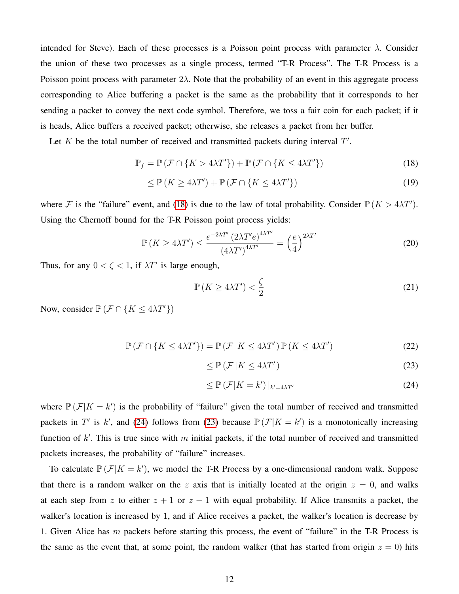intended for Steve). Each of these processes is a Poisson point process with parameter  $\lambda$ . Consider the union of these two processes as a single process, termed "T-R Process". The T-R Process is a Poisson point process with parameter  $2\lambda$ . Note that the probability of an event in this aggregate process corresponding to Alice buffering a packet is the same as the probability that it corresponds to her sending a packet to convey the next code symbol. Therefore, we toss a fair coin for each packet; if it is heads, Alice buffers a received packet; otherwise, she releases a packet from her buffer.

Let  $K$  be the total number of received and transmitted packets during interval  $T'$ .

$$
\mathbb{P}_f = \mathbb{P}\left(\mathcal{F} \cap \{K > 4\lambda T'\}\right) + \mathbb{P}\left(\mathcal{F} \cap \{K \le 4\lambda T'\}\right) \tag{18}
$$

$$
\leq \mathbb{P}\left(K \geq 4\lambda T'\right) + \mathbb{P}\left(\mathcal{F} \cap \{K \leq 4\lambda T'\}\right) \tag{19}
$$

where F is the "failure" event, and [\(18\)](#page-11-0) is due to the law of total probability. Consider  $\mathbb{P}(K > 4\lambda T')$ . Using the Chernoff bound for the T-R Poisson point process yields:

$$
\mathbb{P}\left(K \ge 4\lambda T'\right) \le \frac{e^{-2\lambda T'} \left(2\lambda T'e\right)^{4\lambda T'}}{\left(4\lambda T'\right)^{4\lambda T'}} = \left(\frac{e}{4}\right)^{2\lambda T'}\tag{20}
$$

Thus, for any  $0 < \zeta < 1$ , if  $\lambda T'$  is large enough,

<span id="page-11-3"></span><span id="page-11-0"></span>
$$
\mathbb{P}\left(K \ge 4\lambda T'\right) < \frac{\zeta}{2} \tag{21}
$$

Now, consider  $\mathbb{P}(\mathcal{F} \cap \{K \leq 4\lambda T'\})$ 

$$
\mathbb{P}\left(\mathcal{F}\cap\{K\leq 4\lambda T'\}\right) = \mathbb{P}\left(\mathcal{F}\left|K\leq 4\lambda T'\right.\right)\mathbb{P}\left(K\leq 4\lambda T'\right) \tag{22}
$$

<span id="page-11-2"></span><span id="page-11-1"></span>
$$
\leq \mathbb{P}\left(\mathcal{F} \left|K \leq 4\lambda T'\right.\right) \tag{23}
$$

$$
\leq \mathbb{P}\left(\mathcal{F}|K=k'\right)|_{k'=4\lambda T'}\tag{24}
$$

where  $\mathbb{P}(\mathcal{F}|K = k')$  is the probability of "failure" given the total number of received and transmitted packets in T' is k', and [\(24\)](#page-11-1) follows from [\(23\)](#page-11-2) because  $\mathbb{P}(\mathcal{F}|K = k')$  is a monotonically increasing function of  $k'$ . This is true since with m initial packets, if the total number of received and transmitted packets increases, the probability of "failure" increases.

To calculate  $\mathbb{P}(\mathcal{F}|K = k')$ , we model the T-R Process by a one-dimensional random walk. Suppose that there is a random walker on the z axis that is initially located at the origin  $z = 0$ , and walks at each step from z to either  $z + 1$  or  $z - 1$  with equal probability. If Alice transmits a packet, the walker's location is increased by 1, and if Alice receives a packet, the walker's location is decrease by 1. Given Alice has m packets before starting this process, the event of "failure" in the T-R Process is the same as the event that, at some point, the random walker (that has started from origin  $z = 0$ ) hits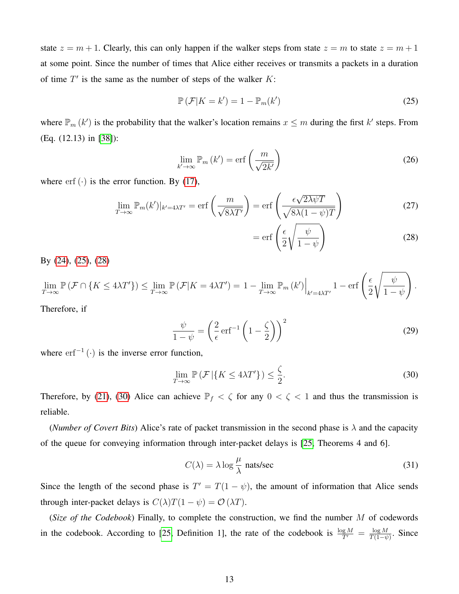state  $z = m + 1$ . Clearly, this can only happen if the walker steps from state  $z = m$  to state  $z = m + 1$ at some point. Since the number of times that Alice either receives or transmits a packets in a duration of time  $T'$  is the same as the number of steps of the walker  $K$ :

$$
\mathbb{P}\left(\mathcal{F}|K=k'\right) = 1 - \mathbb{P}_m(k')\tag{25}
$$

where  $\mathbb{P}_m(k')$  is the probability that the walker's location remains  $x \leq m$  during the first k' steps. From (Eq. (12.13) in [\[38\]](#page-15-3)):

$$
\lim_{k' \to \infty} \mathbb{P}_m \left( k' \right) = \text{erf}\left( \frac{m}{\sqrt{2k'}} \right) \tag{26}
$$

where  $erf(\cdot)$  is the error function. By [\(17\)](#page-10-2),

$$
\lim_{T \to \infty} \mathbb{P}_m(k')|_{k'=4\lambda T'} = \text{erf}\left(\frac{m}{\sqrt{8\lambda T'}}\right) = \text{erf}\left(\frac{\epsilon \sqrt{2\lambda \psi T}}{\sqrt{8\lambda (1 - \psi)T}}\right) \tag{27}
$$

<span id="page-12-2"></span><span id="page-12-1"></span><span id="page-12-0"></span>
$$
= \operatorname{erf}\left(\frac{\epsilon}{2}\sqrt{\frac{\psi}{1-\psi}}\right) \tag{28}
$$

By [\(24\)](#page-11-1), [\(25\)](#page-12-0), [\(28\)](#page-12-1)

$$
\lim_{T \to \infty} \mathbb{P} \left( \mathcal{F} \cap \{ K \le 4\lambda T' \} \right) \le \lim_{T \to \infty} \mathbb{P} \left( \mathcal{F} | K = 4\lambda T' \right) = 1 - \lim_{T \to \infty} \mathbb{P}_m \left( k' \right) \Big|_{k' = 4\lambda T'} 1 - \text{erf} \left( \frac{\epsilon}{2} \sqrt{\frac{\psi}{1 - \psi}} \right).
$$
\nTherefore, if

Therefore, if

$$
\frac{\psi}{1-\psi} = \left(\frac{2}{\epsilon}\,\mathrm{erf}^{-1}\left(1-\frac{\zeta}{2}\right)\right)^2\tag{29}
$$

where  $erf^{-1}(\cdot)$  is the inverse error function,

$$
\lim_{T \to \infty} \mathbb{P}\left(\mathcal{F} \left| \{ K \le 4\lambda T' \} \right. \right) \le \frac{\zeta}{2}.
$$
\n(30)

Therefore, by [\(21\)](#page-11-3), [\(30\)](#page-12-2) Alice can achieve  $\mathbb{P}_f < \zeta$  for any  $0 < \zeta < 1$  and thus the transmission is reliable.

(*Number of Covert Bits*) Alice's rate of packet transmission in the second phase is  $\lambda$  and the capacity of the queue for conveying information through inter-packet delays is [\[25,](#page-14-4) Theorems 4 and 6].

<span id="page-12-3"></span>
$$
C(\lambda) = \lambda \log \frac{\mu}{\lambda} \text{ nats/sec}
$$
 (31)

Since the length of the second phase is  $T' = T(1 - \psi)$ , the amount of information that Alice sends through inter-packet delays is  $C(\lambda)T(1 - \psi) = O(\lambda T)$ .

(*Size of the Codebook*) Finally, to complete the construction, we find the number M of codewords in the codebook. According to [\[25,](#page-14-4) Definition 1], the rate of the codebook is  $\frac{\log M}{T'} = \frac{\log M}{T(1-\psi)}$  $\frac{\log M}{T(1-\psi)}$ . Since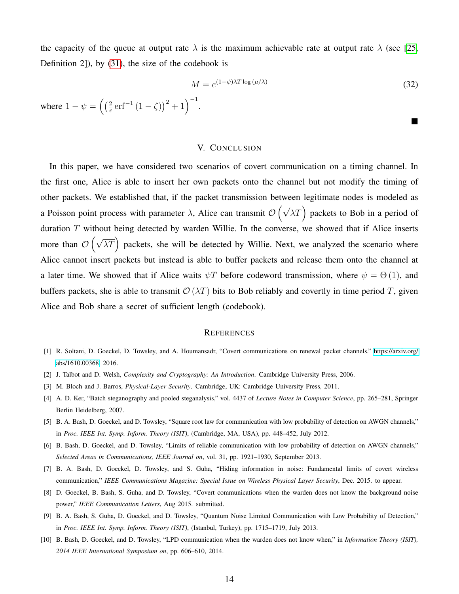the capacity of the queue at output rate  $\lambda$  is the maximum achievable rate at output rate  $\lambda$  (see [\[25,](#page-14-4) Definition 2]), by [\(31\)](#page-12-3), the size of the codebook is

$$
M = e^{(1-\psi)\lambda T \log{(\mu/\lambda)}}\tag{32}
$$

 $\blacksquare$ 

where  $1 - \psi = \left(\frac{2}{\epsilon}\right)$  $\frac{2}{\epsilon} \text{erf}^{-1} (1 - \zeta)^2 + 1 \Big)^{-1}.$ 

## V. CONCLUSION

In this paper, we have considered two scenarios of covert communication on a timing channel. In the first one, Alice is able to insert her own packets onto the channel but not modify the timing of other packets. We established that, if the packet transmission between legitimate nodes is modeled as a Poisson point process with parameter  $\lambda$ , Alice can transmit  $\mathcal{O}(\sqrt{\lambda T})$  packets to Bob in a period of duration  $T$  without being detected by warden Willie. In the converse, we showed that if Alice inserts more than  $\mathcal{O}\left(\sqrt{\lambda T}\right)$  packets, she will be detected by Willie. Next, we analyzed the scenario where Alice cannot insert packets but instead is able to buffer packets and release them onto the channel at a later time. We showed that if Alice waits  $\psi T$  before codeword transmission, where  $\psi = \Theta(1)$ , and buffers packets, she is able to transmit  $\mathcal{O}(\lambda T)$  bits to Bob reliably and covertly in time period T, given Alice and Bob share a secret of sufficient length (codebook).

#### **REFERENCES**

- <span id="page-13-0"></span>[1] R. Soltani, D. Goeckel, D. Towsley, and A. Houmansadr, "Covert communications on renewal packet channels." [https://arxiv.org/](https://arxiv.org/abs/1610.00368) [abs/1610.00368,](https://arxiv.org/abs/1610.00368) 2016.
- <span id="page-13-1"></span>[2] J. Talbot and D. Welsh, *Complexity and Cryptography: An Introduction*. Cambridge University Press, 2006.
- <span id="page-13-2"></span>[3] M. Bloch and J. Barros, *Physical-Layer Security*. Cambridge, UK: Cambridge University Press, 2011.
- <span id="page-13-3"></span>[4] A. D. Ker, "Batch steganography and pooled steganalysis," vol. 4437 of *Lecture Notes in Computer Science*, pp. 265–281, Springer Berlin Heidelberg, 2007.
- <span id="page-13-4"></span>[5] B. A. Bash, D. Goeckel, and D. Towsley, "Square root law for communication with low probability of detection on AWGN channels," in *Proc. IEEE Int. Symp. Inform. Theory (ISIT)*, (Cambridge, MA, USA), pp. 448–452, July 2012.
- <span id="page-13-5"></span>[6] B. Bash, D. Goeckel, and D. Towsley, "Limits of reliable communication with low probability of detection on AWGN channels," *Selected Areas in Communications, IEEE Journal on*, vol. 31, pp. 1921–1930, September 2013.
- <span id="page-13-6"></span>[7] B. A. Bash, D. Goeckel, D. Towsley, and S. Guha, "Hiding information in noise: Fundamental limits of covert wireless communication," *IEEE Communications Magazine: Special Issue on Wireless Physical Layer Security*, Dec. 2015. to appear.
- [8] D. Goeckel, B. Bash, S. Guha, and D. Towsley, "Covert communications when the warden does not know the background noise power," *IEEE Communication Letters*, Aug 2015. submitted.
- [9] B. A. Bash, S. Guha, D. Goeckel, and D. Towsley, "Quantum Noise Limited Communication with Low Probability of Detection," in *Proc. IEEE Int. Symp. Inform. Theory (ISIT)*, (Istanbul, Turkey), pp. 1715–1719, July 2013.
- [10] B. Bash, D. Goeckel, and D. Towsley, "LPD communication when the warden does not know when," in *Information Theory (ISIT), 2014 IEEE International Symposium on*, pp. 606–610, 2014.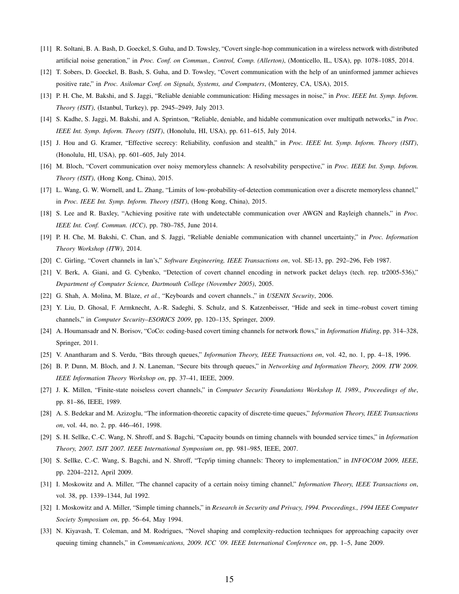- [11] R. Soltani, B. A. Bash, D. Goeckel, S. Guha, and D. Towsley, "Covert single-hop communication in a wireless network with distributed artificial noise generation," in *Proc. Conf. on Commun., Control, Comp. (Allerton)*, (Monticello, IL, USA), pp. 1078–1085, 2014.
- [12] T. Sobers, D. Goeckel, B. Bash, S. Guha, and D. Towsley, "Covert communication with the help of an uninformed jammer achieves positive rate," in *Proc. Asilomar Conf. on Signals, Systems, and Computers*, (Monterey, CA, USA), 2015.
- [13] P. H. Che, M. Bakshi, and S. Jaggi, "Reliable deniable communication: Hiding messages in noise," in *Proc. IEEE Int. Symp. Inform. Theory (ISIT)*, (Istanbul, Turkey), pp. 2945–2949, July 2013.
- [14] S. Kadhe, S. Jaggi, M. Bakshi, and A. Sprintson, "Reliable, deniable, and hidable communication over multipath networks," in *Proc. IEEE Int. Symp. Inform. Theory (ISIT)*, (Honolulu, HI, USA), pp. 611–615, July 2014.
- [15] J. Hou and G. Kramer, "Effective secrecy: Reliability, confusion and stealth," in *Proc. IEEE Int. Symp. Inform. Theory (ISIT)*, (Honolulu, HI, USA), pp. 601–605, July 2014.
- [16] M. Bloch, "Covert communication over noisy memoryless channels: A resolvability perspective," in *Proc. IEEE Int. Symp. Inform. Theory (ISIT)*, (Hong Kong, China), 2015.
- [17] L. Wang, G. W. Wornell, and L. Zhang, "Limits of low-probability-of-detection communication over a discrete memoryless channel," in *Proc. IEEE Int. Symp. Inform. Theory (ISIT)*, (Hong Kong, China), 2015.
- [18] S. Lee and R. Baxley, "Achieving positive rate with undetectable communication over AWGN and Rayleigh channels," in *Proc. IEEE Int. Conf. Commun. (ICC)*, pp. 780–785, June 2014.
- <span id="page-14-0"></span>[19] P. H. Che, M. Bakshi, C. Chan, and S. Jaggi, "Reliable deniable communication with channel uncertainty," in *Proc. Information Theory Workshop (ITW)*, 2014.
- <span id="page-14-1"></span>[20] C. Girling, "Covert channels in lan's," *Software Engineering, IEEE Transactions on*, vol. SE-13, pp. 292–296, Feb 1987.
- <span id="page-14-2"></span>[21] V. Berk, A. Giani, and G. Cybenko, "Detection of covert channel encoding in network packet delays (tech. rep. tr2005-536)," *Department of Computer Science, Dartmouth College (November 2005)*, 2005.
- [22] G. Shah, A. Molina, M. Blaze, *et al.*, "Keyboards and covert channels.," in *USENIX Security*, 2006.
- [23] Y. Liu, D. Ghosal, F. Armknecht, A.-R. Sadeghi, S. Schulz, and S. Katzenbeisser, "Hide and seek in time–robust covert timing channels," in *Computer Security–ESORICS 2009*, pp. 120–135, Springer, 2009.
- <span id="page-14-3"></span>[24] A. Houmansadr and N. Borisov, "CoCo: coding-based covert timing channels for network flows," in *Information Hiding*, pp. 314–328, Springer, 2011.
- <span id="page-14-4"></span>[25] V. Anantharam and S. Verdu, "Bits through queues," *Information Theory, IEEE Transactions on*, vol. 42, no. 1, pp. 4–18, 1996.
- <span id="page-14-5"></span>[26] B. P. Dunn, M. Bloch, and J. N. Laneman, "Secure bits through queues," in *Networking and Information Theory, 2009. ITW 2009. IEEE Information Theory Workshop on*, pp. 37–41, IEEE, 2009.
- <span id="page-14-6"></span>[27] J. K. Millen, "Finite-state noiseless covert channels," in *Computer Security Foundations Workshop II, 1989., Proceedings of the*, pp. 81–86, IEEE, 1989.
- [28] A. S. Bedekar and M. Azizoglu, "The information-theoretic capacity of discrete-time queues," *Information Theory, IEEE Transactions on*, vol. 44, no. 2, pp. 446–461, 1998.
- [29] S. H. Sellke, C.-C. Wang, N. Shroff, and S. Bagchi, "Capacity bounds on timing channels with bounded service times," in *Information Theory, 2007. ISIT 2007. IEEE International Symposium on*, pp. 981–985, IEEE, 2007.
- [30] S. Sellke, C.-C. Wang, S. Bagchi, and N. Shroff, "Tcp/ip timing channels: Theory to implementation," in *INFOCOM 2009, IEEE*, pp. 2204–2212, April 2009.
- [31] I. Moskowitz and A. Miller, "The channel capacity of a certain noisy timing channel," *Information Theory, IEEE Transactions on*, vol. 38, pp. 1339–1344, Jul 1992.
- <span id="page-14-7"></span>[32] I. Moskowitz and A. Miller, "Simple timing channels," in *Research in Security and Privacy, 1994. Proceedings., 1994 IEEE Computer Society Symposium on*, pp. 56–64, May 1994.
- <span id="page-14-8"></span>[33] N. Kiyavash, T. Coleman, and M. Rodrigues, "Novel shaping and complexity-reduction techniques for approaching capacity over queuing timing channels," in *Communications, 2009. ICC '09. IEEE International Conference on*, pp. 1–5, June 2009.